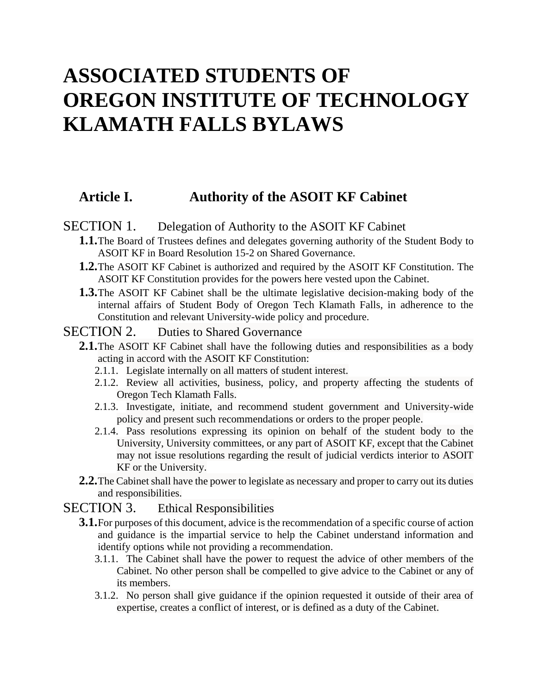# **ASSOCIATED STUDENTS OF OREGON INSTITUTE OF TECHNOLOGY KLAMATH FALLS BYLAWS**

## **Article I. Authority of the ASOIT KF Cabinet**

#### SECTION 1. Delegation of Authority to the ASOIT KF Cabinet

- **1.1.**The Board of Trustees defines and delegates governing authority of the Student Body to ASOIT KF in Board Resolution 15-2 on Shared Governance.
- **1.2.**The ASOIT KF Cabinet is authorized and required by the ASOIT KF Constitution. The ASOIT KF Constitution provides for the powers here vested upon the Cabinet.
- **1.3.**The ASOIT KF Cabinet shall be the ultimate legislative decision-making body of the internal affairs of Student Body of Oregon Tech Klamath Falls, in adherence to the Constitution and relevant University-wide policy and procedure.

#### SECTION 2. Duties to Shared Governance

- **2.1.** The ASOIT KF Cabinet shall have the following duties and responsibilities as a body acting in accord with the ASOIT KF Constitution:
	- 2.1.1. Legislate internally on all matters of student interest.
	- 2.1.2. Review all activities, business, policy, and property affecting the students of Oregon Tech Klamath Falls.
	- 2.1.3. Investigate, initiate, and recommend student government and University-wide policy and present such recommendations or orders to the proper people.
	- 2.1.4. Pass resolutions expressing its opinion on behalf of the student body to the University, University committees, or any part of ASOIT KF, except that the Cabinet may not issue resolutions regarding the result of judicial verdicts interior to ASOIT KF or the University.
- **2.2.**The Cabinet shall have the power to legislate as necessary and proper to carry out its duties and responsibilities.

#### SECTION 3. Ethical Responsibilities

- **3.1.**For purposes of this document, advice is the recommendation of a specific course of action and guidance is the impartial service to help the Cabinet understand information and identify options while not providing a recommendation.
	- 3.1.1. The Cabinet shall have the power to request the advice of other members of the Cabinet. No other person shall be compelled to give advice to the Cabinet or any of its members.
	- 3.1.2. No person shall give guidance if the opinion requested it outside of their area of expertise, creates a conflict of interest, or is defined as a duty of the Cabinet.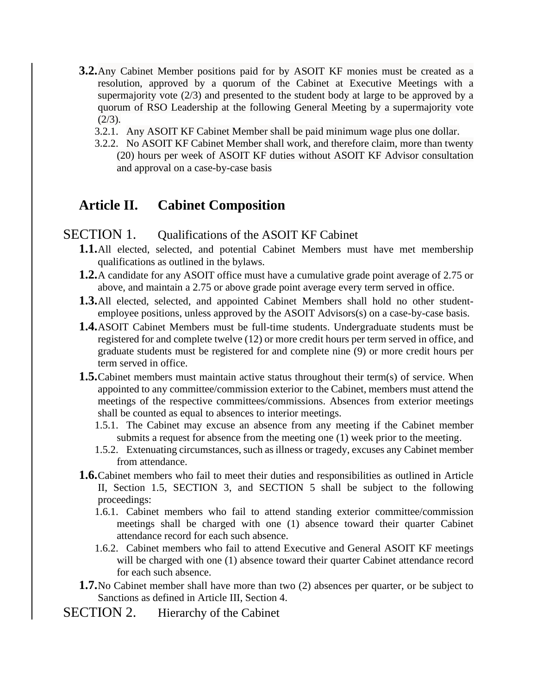- **3.2.**Any Cabinet Member positions paid for by ASOIT KF monies must be created as a resolution, approved by a quorum of the Cabinet at Executive Meetings with a supermajority vote (2/3) and presented to the student body at large to be approved by a quorum of RSO Leadership at the following General Meeting by a supermajority vote  $(2/3)$ .
	- 3.2.1. Any ASOIT KF Cabinet Member shall be paid minimum wage plus one dollar.
	- 3.2.2. No ASOIT KF Cabinet Member shall work, and therefore claim, more than twenty (20) hours per week of ASOIT KF duties without ASOIT KF Advisor consultation and approval on a case-by-case basis

## <span id="page-1-0"></span>**Article II. Cabinet Composition**

#### SECTION 1. Qualifications of the ASOIT KF Cabinet

- **1.1.**All elected, selected, and potential Cabinet Members must have met membership qualifications as outlined in the bylaws.
- **1.2.**A candidate for any ASOIT office must have a cumulative grade point average of 2.75 or above, and maintain a 2.75 or above grade point average every term served in office.
- **1.3.**All elected, selected, and appointed Cabinet Members shall hold no other studentemployee positions, unless approved by the ASOIT Advisors(s) on a case-by-case basis.
- **1.4.**ASOIT Cabinet Members must be full-time students. Undergraduate students must be registered for and complete twelve (12) or more credit hours per term served in office, and graduate students must be registered for and complete nine (9) or more credit hours per term served in office.
- <span id="page-1-1"></span>**1.5.**Cabinet members must maintain active status throughout their term(s) of service. When appointed to any committee/commission exterior to the Cabinet, members must attend the meetings of the respective committees/commissions. Absences from exterior meetings shall be counted as equal to absences to interior meetings.
	- 1.5.1. The Cabinet may excuse an absence from any meeting if the Cabinet member submits a request for absence from the meeting one (1) week prior to the meeting.
	- 1.5.2. Extenuating circumstances, such as illness or tragedy, excuses any Cabinet member from attendance.
- **1.6.**Cabinet members who fail to meet their duties and responsibilities as outlined in [Article](#page-1-0)  [II,](#page-1-0) Section [1.5,](#page-1-1) [SECTION 3,](#page-2-0) and [SECTION 5](#page-3-0) shall be subject to the following proceedings:
	- 1.6.1. Cabinet members who fail to attend standing exterior committee/commission meetings shall be charged with one (1) absence toward their quarter Cabinet attendance record for each such absence.
	- 1.6.2. Cabinet members who fail to attend Executive and General ASOIT KF meetings will be charged with one (1) absence toward their quarter Cabinet attendance record for each such absence.
- **1.7.**No Cabinet member shall have more than two (2) absences per quarter, or be subject to Sanctions as defined in Article III, Section 4.
- SECTION 2. Hierarchy of the Cabinet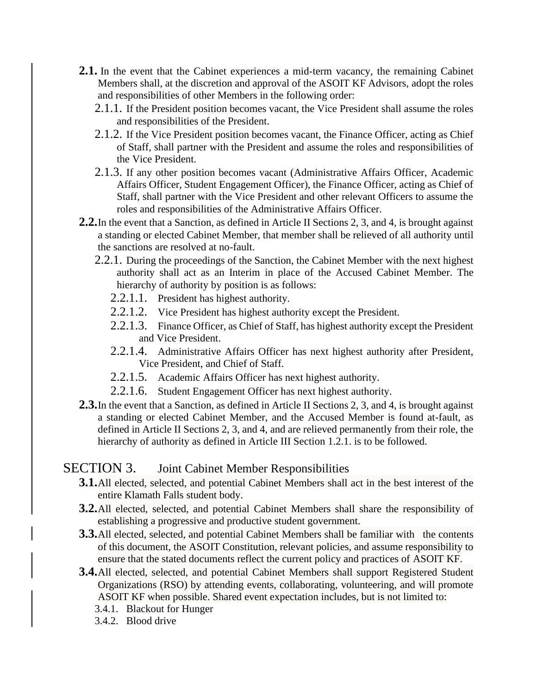- **2.1.** In the event that the Cabinet experiences a mid-term vacancy, the remaining Cabinet Members shall, at the discretion and approval of the ASOIT KF Advisors, adopt the roles and responsibilities of other Members in the following order:
	- 2.1.1. If the President position becomes vacant, the Vice President shall assume the roles and responsibilities of the President.
	- 2.1.2. If the Vice President position becomes vacant, the Finance Officer, acting as Chief of Staff, shall partner with the President and assume the roles and responsibilities of the Vice President.
	- 2.1.3. If any other position becomes vacant (Administrative Affairs Officer, Academic Affairs Officer, Student Engagement Officer), the Finance Officer, acting as Chief of Staff, shall partner with the Vice President and other relevant Officers to assume the roles and responsibilities of the Administrative Affairs Officer.
- **2.2.**In the event that a Sanction, as defined in Article II Sections 2, 3, and 4, is brought against a standing or elected Cabinet Member, that member shall be relieved of all authority until the sanctions are resolved at no-fault.
	- 2.2.1. During the proceedings of the Sanction, the Cabinet Member with the next highest authority shall act as an Interim in place of the Accused Cabinet Member. The hierarchy of authority by position is as follows:
		- 2.2.1.1. President has highest authority.
		- 2.2.1.2. Vice President has highest authority except the President.
		- 2.2.1.3. Finance Officer, as Chief of Staff, has highest authority except the President and Vice President.
		- 2.2.1.4. Administrative Affairs Officer has next highest authority after President, Vice President, and Chief of Staff.
		- 2.2.1.5. Academic Affairs Officer has next highest authority.
		- 2.2.1.6. Student Engagement Officer has next highest authority.
- **2.3.**In the event that a Sanction, as defined in Article II Sections 2, 3, and 4, is brought against a standing or elected Cabinet Member, and the Accused Member is found at-fault, as defined in Article II Sections 2, 3, and 4, and are relieved permanently from their role, the hierarchy of authority as defined in Article III Section 1.2.1. is to be followed.

## SECTION 3. Joint Cabinet Member Responsibilities

- <span id="page-2-0"></span>**3.1.**All elected, selected, and potential Cabinet Members shall act in the best interest of the entire Klamath Falls student body.
- **3.2.**All elected, selected, and potential Cabinet Members shall share the responsibility of establishing a progressive and productive student government.
- **3.3.**All elected, selected, and potential Cabinet Members shall be familiar with the contents of this document, the ASOIT Constitution, relevant policies, and assume responsibility to ensure that the stated documents reflect the current policy and practices of ASOIT KF.
- **3.4.**All elected, selected, and potential Cabinet Members shall support Registered Student Organizations (RSO) by attending events, collaborating, volunteering, and will promote ASOIT KF when possible. Shared event expectation includes, but is not limited to:
	- 3.4.1. Blackout for Hunger
	- 3.4.2. Blood drive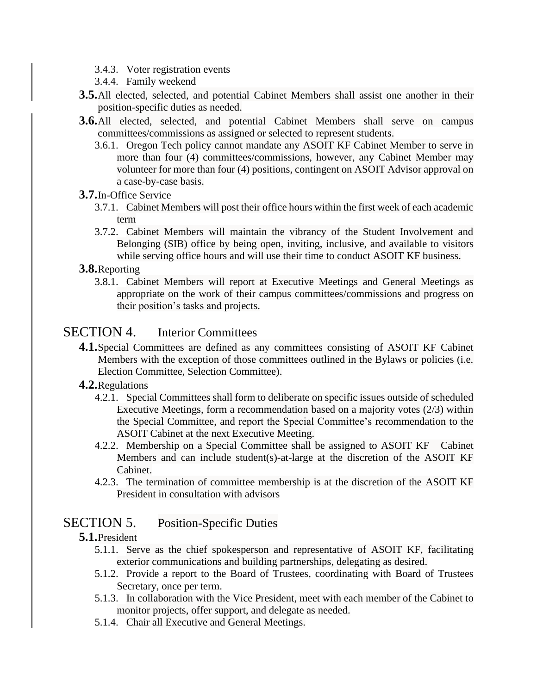- 3.4.3. Voter registration events
- 3.4.4. Family weekend
- **3.5.**All elected, selected, and potential Cabinet Members shall assist one another in their position-specific duties as needed.
- **3.6.**All elected, selected, and potential Cabinet Members shall serve on campus committees/commissions as assigned or selected to represent students.
	- 3.6.1. Oregon Tech policy cannot mandate any ASOIT KF Cabinet Member to serve in more than four (4) committees/commissions, however, any Cabinet Member may volunteer for more than four (4) positions, contingent on ASOIT Advisor approval on a case-by-case basis.

#### **3.7.**In-Office Service

- 3.7.1. Cabinet Members will post their office hours within the first week of each academic term
- 3.7.2. Cabinet Members will maintain the vibrancy of the Student Involvement and Belonging (SIB) office by being open, inviting, inclusive, and available to visitors while serving office hours and will use their time to conduct ASOIT KF business.

#### **3.8.**Reporting

3.8.1. Cabinet Members will report at Executive Meetings and General Meetings as appropriate on the work of their campus committees/commissions and progress on their position's tasks and projects.

## SECTION 4. Interior Committees

**4.1.**Special Committees are defined as any committees consisting of ASOIT KF Cabinet Members with the exception of those committees outlined in the Bylaws or policies (i.e. Election Committee, Selection Committee).

#### **4.2.**Regulations

- 4.2.1. Special Committees shall form to deliberate on specific issues outside of scheduled Executive Meetings, form a recommendation based on a majority votes (2/3) within the Special Committee, and report the Special Committee's recommendation to the ASOIT Cabinet at the next Executive Meeting.
- 4.2.2. Membership on a Special Committee shall be assigned to ASOIT KF Cabinet Members and can include student(s)-at-large at the discretion of the ASOIT KF Cabinet.
- 4.2.3. The termination of committee membership is at the discretion of the ASOIT KF President in consultation with advisors

## SECTION 5. Position-Specific Duties

#### **5.1.**President

- <span id="page-3-0"></span>5.1.1. Serve as the chief spokesperson and representative of ASOIT KF, facilitating exterior communications and building partnerships, delegating as desired.
- 5.1.2. Provide a report to the Board of Trustees, coordinating with Board of Trustees Secretary, once per term.
- 5.1.3. In collaboration with the Vice President, meet with each member of the Cabinet to monitor projects, offer support, and delegate as needed.
- 5.1.4. Chair all Executive and General Meetings.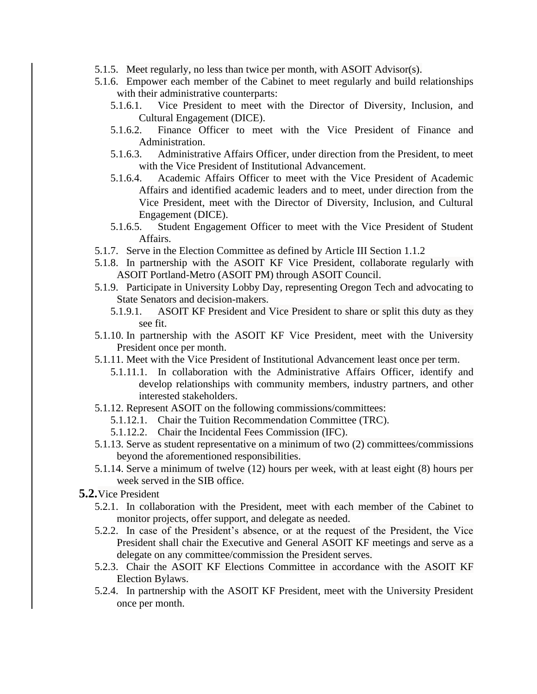- 5.1.5. Meet regularly, no less than twice per month, with ASOIT Advisor(s).
- 5.1.6. Empower each member of the Cabinet to meet regularly and build relationships with their administrative counterparts:
	- 5.1.6.1. Vice President to meet with the Director of Diversity, Inclusion, and Cultural Engagement (DICE).
	- 5.1.6.2. Finance Officer to meet with the Vice President of Finance and Administration.
	- 5.1.6.3. Administrative Affairs Officer, under direction from the President, to meet with the Vice President of Institutional Advancement.
	- 5.1.6.4. Academic Affairs Officer to meet with the Vice President of Academic Affairs and identified academic leaders and to meet, under direction from the Vice President, meet with the Director of Diversity, Inclusion, and Cultural Engagement (DICE).
	- 5.1.6.5. Student Engagement Officer to meet with the Vice President of Student Affairs.
- 5.1.7. Serve in the Election Committee as defined by Article III Section 1.1.2
- 5.1.8. In partnership with the ASOIT KF Vice President, collaborate regularly with ASOIT Portland-Metro (ASOIT PM) through ASOIT Council.
- 5.1.9. Participate in University Lobby Day, representing Oregon Tech and advocating to State Senators and decision-makers.
	- 5.1.9.1. ASOIT KF President and Vice President to share or split this duty as they see fit.
- 5.1.10. In partnership with the ASOIT KF Vice President, meet with the University President once per month.
- 5.1.11. Meet with the Vice President of Institutional Advancement least once per term.
	- 5.1.11.1. In collaboration with the Administrative Affairs Officer, identify and develop relationships with community members, industry partners, and other interested stakeholders.
- 5.1.12. Represent ASOIT on the following commissions/committees:
	- 5.1.12.1. Chair the Tuition Recommendation Committee (TRC).
	- 5.1.12.2. Chair the Incidental Fees Commission (IFC).
- 5.1.13. Serve as student representative on a minimum of two (2) committees/commissions beyond the aforementioned responsibilities.
- 5.1.14. Serve a minimum of twelve (12) hours per week, with at least eight (8) hours per week served in the SIB office.
- **5.2.**Vice President
	- 5.2.1. In collaboration with the President, meet with each member of the Cabinet to monitor projects, offer support, and delegate as needed.
	- 5.2.2. In case of the President's absence, or at the request of the President, the Vice President shall chair the Executive and General ASOIT KF meetings and serve as a delegate on any committee/commission the President serves.
	- 5.2.3. Chair the ASOIT KF Elections Committee in accordance with the ASOIT KF Election Bylaws.
	- 5.2.4. In partnership with the ASOIT KF President, meet with the University President once per month.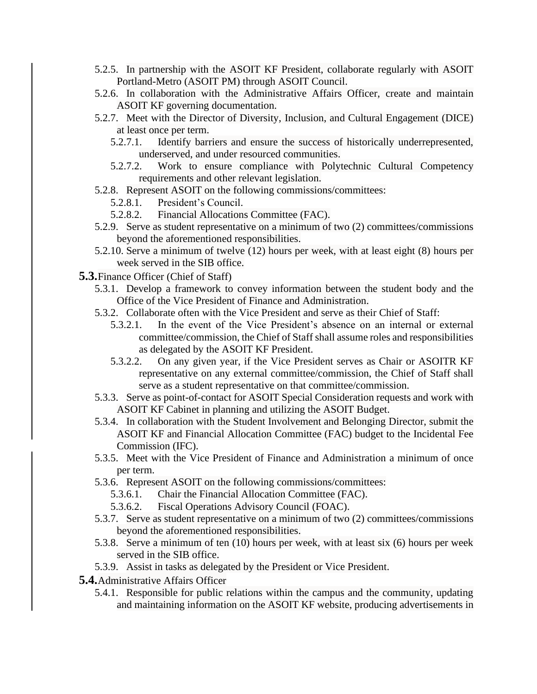- 5.2.5. In partnership with the ASOIT KF President, collaborate regularly with ASOIT Portland-Metro (ASOIT PM) through ASOIT Council.
- 5.2.6. In collaboration with the Administrative Affairs Officer, create and maintain ASOIT KF governing documentation.
- 5.2.7. Meet with the Director of Diversity, Inclusion, and Cultural Engagement (DICE) at least once per term.
	- 5.2.7.1. Identify barriers and ensure the success of historically underrepresented, underserved, and under resourced communities.
	- 5.2.7.2. Work to ensure compliance with Polytechnic Cultural Competency requirements and other relevant legislation.
- 5.2.8. Represent ASOIT on the following commissions/committees:
	- 5.2.8.1. President's Council.
	- 5.2.8.2. Financial Allocations Committee (FAC).
- 5.2.9. Serve as student representative on a minimum of two (2) committees/commissions beyond the aforementioned responsibilities.
- 5.2.10. Serve a minimum of twelve (12) hours per week, with at least eight (8) hours per week served in the SIB office.
- **5.3.**Finance Officer (Chief of Staff)
	- 5.3.1. Develop a framework to convey information between the student body and the Office of the Vice President of Finance and Administration.
	- 5.3.2. Collaborate often with the Vice President and serve as their Chief of Staff:
		- 5.3.2.1. In the event of the Vice President's absence on an internal or external committee/commission, the Chief of Staff shall assume roles and responsibilities as delegated by the ASOIT KF President.
		- 5.3.2.2. On any given year, if the Vice President serves as Chair or ASOITR KF representative on any external committee/commission, the Chief of Staff shall serve as a student representative on that committee/commission.
	- 5.3.3. Serve as point-of-contact for ASOIT Special Consideration requests and work with ASOIT KF Cabinet in planning and utilizing the ASOIT Budget.
	- 5.3.4. In collaboration with the Student Involvement and Belonging Director, submit the ASOIT KF and Financial Allocation Committee (FAC) budget to the Incidental Fee Commission (IFC).
	- 5.3.5. Meet with the Vice President of Finance and Administration a minimum of once per term.
	- 5.3.6. Represent ASOIT on the following commissions/committees:
		- 5.3.6.1. Chair the Financial Allocation Committee (FAC).
		- 5.3.6.2. Fiscal Operations Advisory Council (FOAC).
	- 5.3.7. Serve as student representative on a minimum of two (2) committees/commissions beyond the aforementioned responsibilities.
	- 5.3.8. Serve a minimum of ten (10) hours per week, with at least six (6) hours per week served in the SIB office.
	- 5.3.9. Assist in tasks as delegated by the President or Vice President.
- **5.4.**Administrative Affairs Officer
	- 5.4.1. Responsible for public relations within the campus and the community, updating and maintaining information on the ASOIT KF website, producing advertisements in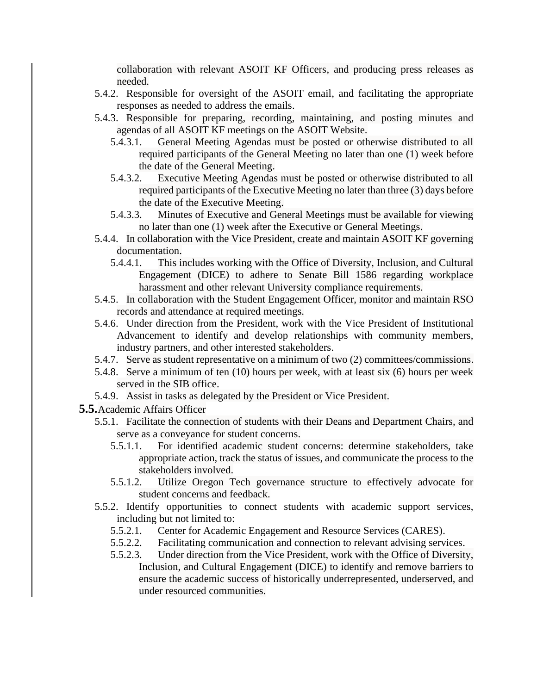collaboration with relevant ASOIT KF Officers, and producing press releases as needed.

- 5.4.2. Responsible for oversight of the ASOIT email, and facilitating the appropriate responses as needed to address the emails.
- 5.4.3. Responsible for preparing, recording, maintaining, and posting minutes and agendas of all ASOIT KF meetings on the ASOIT Website.
	- 5.4.3.1. General Meeting Agendas must be posted or otherwise distributed to all required participants of the General Meeting no later than one (1) week before the date of the General Meeting.
	- 5.4.3.2. Executive Meeting Agendas must be posted or otherwise distributed to all required participants of the Executive Meeting no later than three (3) days before the date of the Executive Meeting.
	- 5.4.3.3. Minutes of Executive and General Meetings must be available for viewing no later than one (1) week after the Executive or General Meetings.
- 5.4.4. In collaboration with the Vice President, create and maintain ASOIT KF governing documentation.
	- 5.4.4.1. This includes working with the Office of Diversity, Inclusion, and Cultural Engagement (DICE) to adhere to Senate Bill 1586 regarding workplace harassment and other relevant University compliance requirements.
- 5.4.5. In collaboration with the Student Engagement Officer, monitor and maintain RSO records and attendance at required meetings.
- 5.4.6. Under direction from the President, work with the Vice President of Institutional Advancement to identify and develop relationships with community members, industry partners, and other interested stakeholders.
- 5.4.7. Serve as student representative on a minimum of two (2) committees/commissions.
- 5.4.8. Serve a minimum of ten (10) hours per week, with at least six (6) hours per week served in the SIB office.
- 5.4.9. Assist in tasks as delegated by the President or Vice President.
- **5.5.**Academic Affairs Officer
	- 5.5.1. Facilitate the connection of students with their Deans and Department Chairs, and serve as a conveyance for student concerns.
		- 5.5.1.1. For identified academic student concerns: determine stakeholders, take appropriate action, track the status of issues, and communicate the process to the stakeholders involved.
		- 5.5.1.2. Utilize Oregon Tech governance structure to effectively advocate for student concerns and feedback.
	- 5.5.2. Identify opportunities to connect students with academic support services, including but not limited to:
		- 5.5.2.1. Center for Academic Engagement and Resource Services (CARES).
		- 5.5.2.2. Facilitating communication and connection to relevant advising services.
		- 5.5.2.3. Under direction from the Vice President, work with the Office of Diversity, Inclusion, and Cultural Engagement (DICE) to identify and remove barriers to ensure the academic success of historically underrepresented, underserved, and under resourced communities.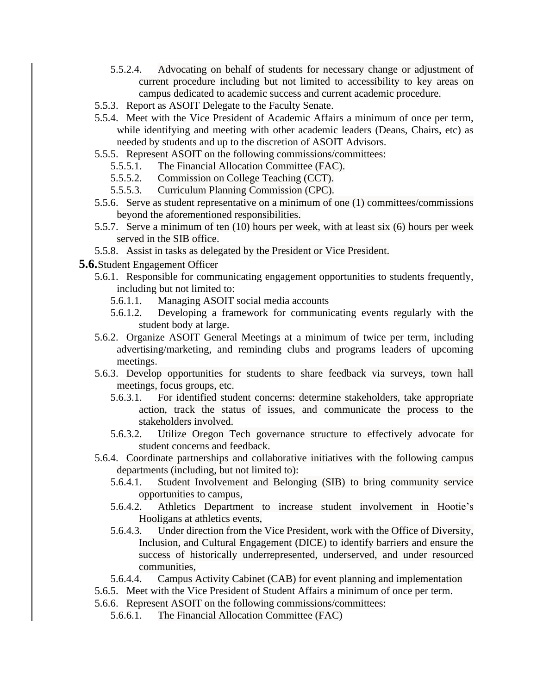- 5.5.2.4. Advocating on behalf of students for necessary change or adjustment of current procedure including but not limited to accessibility to key areas on campus dedicated to academic success and current academic procedure.
- 5.5.3. Report as ASOIT Delegate to the Faculty Senate.
- 5.5.4. Meet with the Vice President of Academic Affairs a minimum of once per term, while identifying and meeting with other academic leaders (Deans, Chairs, etc) as needed by students and up to the discretion of ASOIT Advisors.
- 5.5.5. Represent ASOIT on the following commissions/committees:
	- 5.5.5.1. The Financial Allocation Committee (FAC).
	- 5.5.5.2. Commission on College Teaching (CCT).
	- 5.5.5.3. Curriculum Planning Commission (CPC).
- 5.5.6. Serve as student representative on a minimum of one (1) committees/commissions beyond the aforementioned responsibilities.
- 5.5.7. Serve a minimum of ten (10) hours per week, with at least six (6) hours per week served in the SIB office.
- 5.5.8. Assist in tasks as delegated by the President or Vice President.
- **5.6.**Student Engagement Officer
	- 5.6.1. Responsible for communicating engagement opportunities to students frequently, including but not limited to:
		- 5.6.1.1. Managing ASOIT social media accounts
		- 5.6.1.2. Developing a framework for communicating events regularly with the student body at large.
	- 5.6.2. Organize ASOIT General Meetings at a minimum of twice per term, including advertising/marketing, and reminding clubs and programs leaders of upcoming meetings.
	- 5.6.3. Develop opportunities for students to share feedback via surveys, town hall meetings, focus groups, etc.
		- 5.6.3.1. For identified student concerns: determine stakeholders, take appropriate action, track the status of issues, and communicate the process to the stakeholders involved.
		- 5.6.3.2. Utilize Oregon Tech governance structure to effectively advocate for student concerns and feedback.
	- 5.6.4. Coordinate partnerships and collaborative initiatives with the following campus departments (including, but not limited to):
		- 5.6.4.1. Student Involvement and Belonging (SIB) to bring community service opportunities to campus,
		- 5.6.4.2. Athletics Department to increase student involvement in Hootie's Hooligans at athletics events,
		- 5.6.4.3. Under direction from the Vice President, work with the Office of Diversity, Inclusion, and Cultural Engagement (DICE) to identify barriers and ensure the success of historically underrepresented, underserved, and under resourced communities,
		- 5.6.4.4. Campus Activity Cabinet (CAB) for event planning and implementation
	- 5.6.5. Meet with the Vice President of Student Affairs a minimum of once per term.
	- 5.6.6. Represent ASOIT on the following commissions/committees:
		- 5.6.6.1. The Financial Allocation Committee (FAC)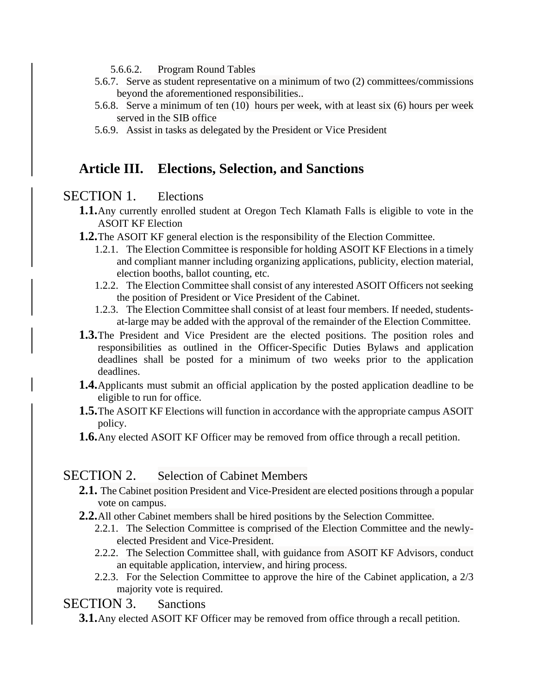- 5.6.6.2. Program Round Tables
- 5.6.7. Serve as student representative on a minimum of two (2) committees/commissions beyond the aforementioned responsibilities..
- 5.6.8. Serve a minimum of ten (10) hours per week, with at least six (6) hours per week served in the SIB office
- 5.6.9. Assist in tasks as delegated by the President or Vice President

## **Article III. Elections, Selection, and Sanctions**

## SECTION 1. Elections

- **1.1.**Any currently enrolled student at Oregon Tech Klamath Falls is eligible to vote in the ASOIT KF Election
- **1.2.**The ASOIT KF general election is the responsibility of the Election Committee.
	- 1.2.1. The Election Committee is responsible for holding ASOIT KF Elections in a timely and compliant manner including organizing applications, publicity, election material, election booths, ballot counting, etc.
	- 1.2.2. The Election Committee shall consist of any interested ASOIT Officers not seeking the position of President or Vice President of the Cabinet.
	- 1.2.3. The Election Committee shall consist of at least four members. If needed, studentsat-large may be added with the approval of the remainder of the Election Committee.
- **1.3.**The President and Vice President are the elected positions. The position roles and responsibilities as outlined in the Officer-Specific Duties Bylaws and application deadlines shall be posted for a minimum of two weeks prior to the application deadlines.
- **1.4.**Applicants must submit an official application by the posted application deadline to be eligible to run for office.
- **1.5.**The ASOIT KF Elections will function in accordance with the appropriate campus ASOIT policy.
- **1.6.** Any elected ASOIT KF Officer may be removed from office through a recall petition.

#### SECTION 2. Selection of Cabinet Members

- **2.1.** The Cabinet position President and Vice-President are elected positions through a popular vote on campus.
- **2.2.**All other Cabinet members shall be hired positions by the Selection Committee.
	- 2.2.1. The Selection Committee is comprised of the Election Committee and the newlyelected President and Vice-President.
	- 2.2.2. The Selection Committee shall, with guidance from ASOIT KF Advisors, conduct an equitable application, interview, and hiring process.
	- 2.2.3. For the Selection Committee to approve the hire of the Cabinet application, a 2/3 majority vote is required.

### SECTION 3. Sanctions

**3.1.**Any elected ASOIT KF Officer may be removed from office through a recall petition.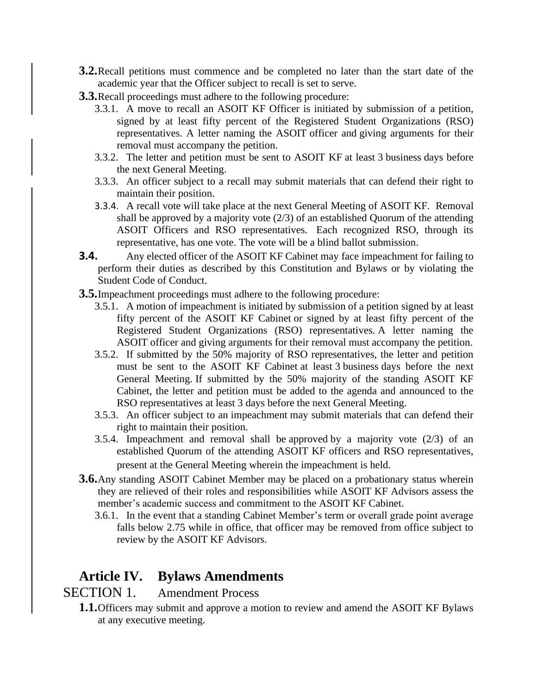- **3.2.**Recall petitions must commence and be completed no later than the start date of the academic year that the Officer subject to recall is set to serve.
- **3.3.**Recall proceedings must adhere to the following procedure:
	- 3.3.1. A move to recall an ASOIT KF Officer is initiated by submission of a petition, signed by at least fifty percent of the Registered Student Organizations (RSO) representatives. A letter naming the ASOIT officer and giving arguments for their removal must accompany the petition.
	- 3.3.2. The letter and petition must be sent to ASOIT KF at least 3 business days before the next General Meeting.
	- 3.3.3. An officer subject to a recall may submit materials that can defend their right to maintain their position.
	- 3.3.4. A recall vote will take place at the next General Meeting of ASOIT KF. Removal shall be approved by a majority vote  $(2/3)$  of an established Quorum of the attending ASOIT Officers and RSO representatives. Each recognized RSO, through its representative, has one vote. The vote will be a blind ballot submission.
- **3.4.** Any elected officer of the ASOIT KF Cabinet may face impeachment for failing to perform their duties as described by this Constitution and Bylaws or by violating the Student Code of Conduct.
- **3.5.**Impeachment proceedings must adhere to the following procedure:
	- 3.5.1. A motion of impeachment is initiated by submission of a petition signed by at least fifty percent of the ASOIT KF Cabinet or signed by at least fifty percent of the Registered Student Organizations (RSO) representatives. A letter naming the ASOIT officer and giving arguments for their removal must accompany the petition.
	- 3.5.2. If submitted by the 50% majority of RSO representatives, the letter and petition must be sent to the ASOIT KF Cabinet at least 3 business days before the next General Meeting. If submitted by the 50% majority of the standing ASOIT KF Cabinet, the letter and petition must be added to the agenda and announced to the RSO representatives at least 3 days before the next General Meeting.
	- 3.5.3. An officer subject to an impeachment may submit materials that can defend their right to maintain their position.
	- 3.5.4. Impeachment and removal shall be approved by a majority vote (2/3) of an established Quorum of the attending ASOIT KF officers and RSO representatives, present at the General Meeting wherein the impeachment is held.
- **3.6.**Any standing ASOIT Cabinet Member may be placed on a probationary status wherein they are relieved of their roles and responsibilities while ASOIT KF Advisors assess the member's academic success and commitment to the ASOIT KF Cabinet.
	- 3.6.1. In the event that a standing Cabinet Member's term or overall grade point average falls below 2.75 while in office, that officer may be removed from office subject to review by the ASOIT KF Advisors.

## <span id="page-9-0"></span>**Article IV. Bylaws Amendments**

#### SECTION 1. Amendment Process

**1.1.**Officers may submit and approve a motion to review and amend the ASOIT KF Bylaws at any executive meeting.